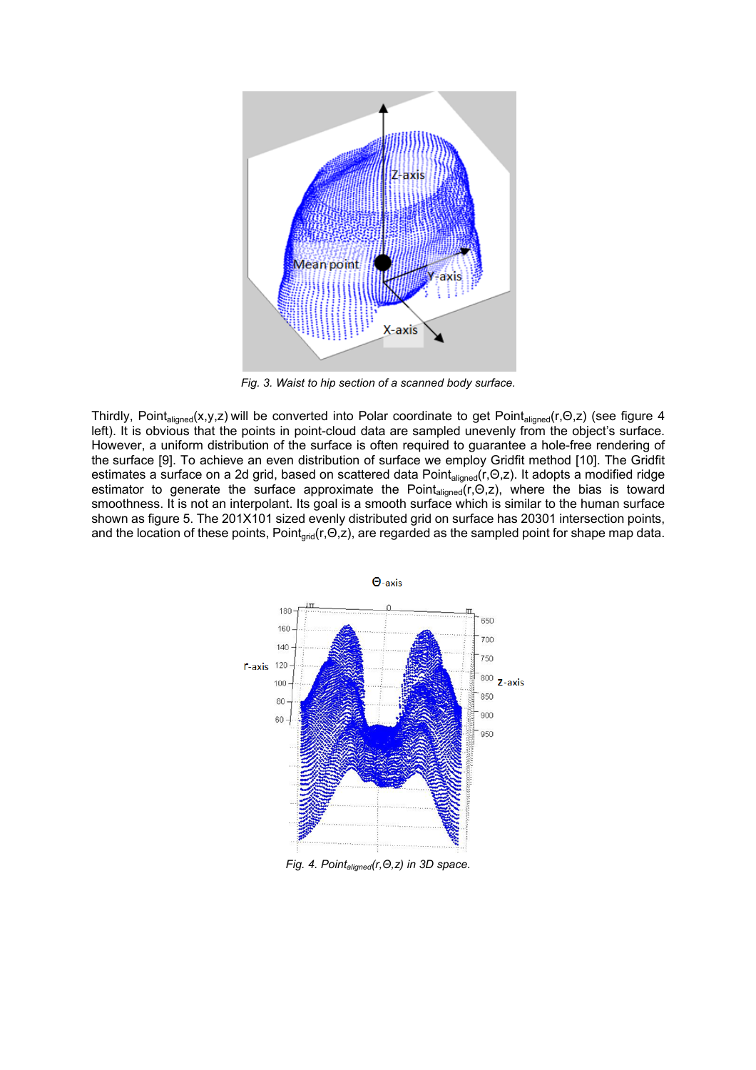

*Fig. 3. Waist to hip section of a scanned body surface.* 

Thirdly, Point<sub>aligned</sub>(x,y,z) will be converted into Polar coordinate to get Point<sub>aligned</sub>(r,Θ,z) (see figure 4 left). It is obvious that the points in point-cloud data are sampled unevenly from the object's surface. However, a uniform distribution of the surface is often required to guarantee a hole-free rendering of the surface [9]. To achieve an even distribution of surface we employ Gridfit method [10]. The Gridfit estimates a surface on a 2d grid, based on scattered data Point<sub>aligned</sub>(r,Θ,z). It adopts a modified ridge estimator to generate the surface approximate the Point<sub>aligned</sub>(r,Θ,z), where the bias is toward smoothness. It is not an interpolant. Its goal is a smooth surface which is similar to the human surface shown as figure 5. The 201X101 sized evenly distributed grid on surface has 20301 intersection points, and the location of these points, Point<sub>grid</sub>(r,Θ,z), are regarded as the sampled point for shape map data.



*Fig. 4. Pointaligned(r,Θ,z) in 3D space.*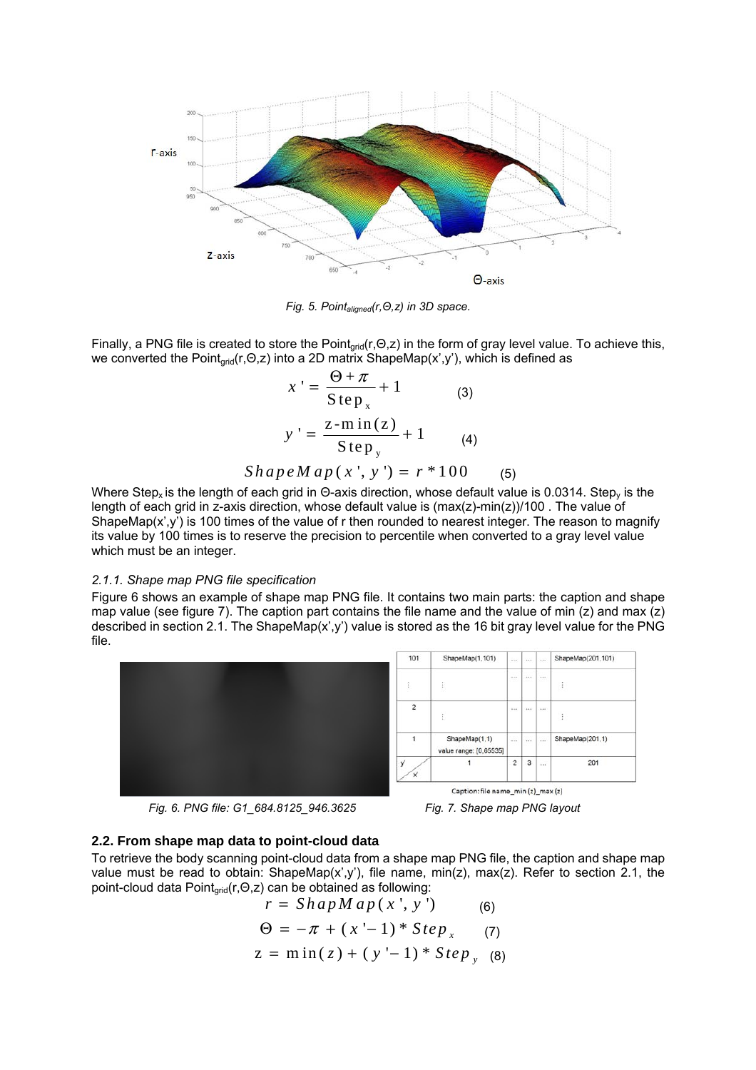

*Fig. 5. Pointaligned(r,Θ,z) in 3D space.* 

Finally, a PNG file is created to store the Pointgrid(r,Θ,z) in the form of gray level value. To achieve this, we converted the Point<sub>arid</sub>(r,Θ,z) into a 2D matrix ShapeMap(x',y'), which is defined as

$$
x' = \frac{\Theta + \pi}{\text{Step}_x} + 1
$$
 (3)  

$$
y' = \frac{z - \min(z)}{\text{Step}_y} + 1
$$
 (4)  
*ShapeMap(x', y') = r \* 100* (5)

Where Step<sub>x</sub> is the length of each grid in Θ-axis direction, whose default value is 0.0314. Step<sub>y</sub> is the length of each grid in z-axis direction, whose default value is (max(z)-min(z))/100. The value of ShapeMap(x',y') is 100 times of the value of r then rounded to nearest integer. The reason to magnify its value by 100 times is to reserve the precision to percentile when converted to a gray level value which must be an integer.

#### *2.1.1. Shape map PNG file specification*

Figure 6 shows an example of shape map PNG file. It contains two main parts: the caption and shape map value (see figure 7). The caption part contains the file name and the value of min (z) and max (z) described in section 2.1. The ShapeMap(x',y') value is stored as the 16 bit gray level value for the PNG file.



*Fig. 6. PNG file: G1\_684.8125\_946.3625 Fig. 7. Shape map PNG layout* 



#### **2.2. From shape map data to point-cloud data**

To retrieve the body scanning point-cloud data from a shape map PNG file, the caption and shape map value must be read to obtain: ShapeMap(x',y'), file name, min(z), max(z). Refer to section 2.1, the point-cloud data Point<sub>αrid</sub>(r,Θ,z) can be obtained as following:

$$
r = ShapMap(x', y')
$$
(6)  

$$
\Theta = -\pi + (x'-1) * Step_x
$$
(7)  

$$
z = min(z) + (y'-1) * Step_y
$$
(8)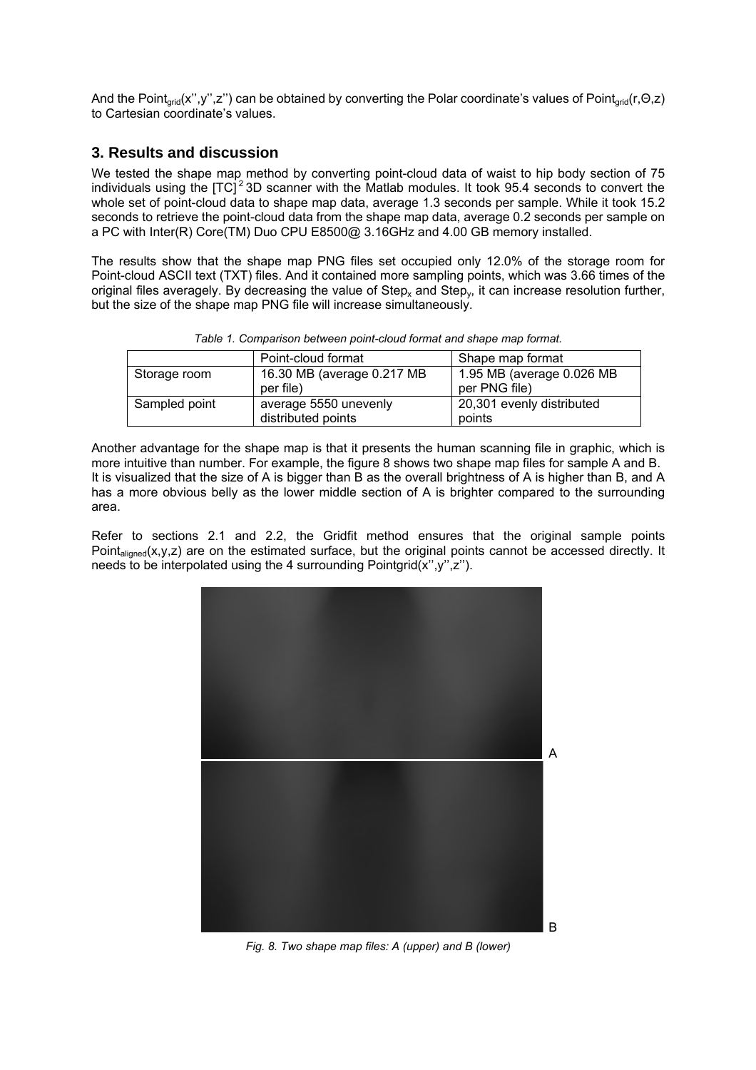And the Point<sub>arid</sub>(x",y",z") can be obtained by converting the Polar coordinate's values of Point<sub>arid</sub>(r,Θ,z) to Cartesian coordinate's values.

#### **3. Results and discussion**

We tested the shape map method by converting point-cloud data of waist to hip body section of 75 individuals using the  $|TC|^2$  3D scanner with the Matlab modules. It took 95.4 seconds to convert the whole set of point-cloud data to shape map data, average 1.3 seconds per sample. While it took 15.2 seconds to retrieve the point-cloud data from the shape map data, average 0.2 seconds per sample on a PC with Inter(R) Core(TM) Duo CPU E8500@ 3.16GHz and 4.00 GB memory installed.

The results show that the shape map PNG files set occupied only 12.0% of the storage room for Point-cloud ASCII text (TXT) files. And it contained more sampling points, which was 3.66 times of the original files averagely. By decreasing the value of  $Step_x$  and  $Step_y$ , it can increase resolution further, but the size of the shape map PNG file will increase simultaneously.

*Table 1. Comparison between point-cloud format and shape map format.* 

| Point-cloud format         | Shape map format                    |
|----------------------------|-------------------------------------|
| 16.30 MB (average 0.217 MB | 1.95 MB (average 0.026 MB           |
| per file)                  | per PNG file)                       |
| average 5550 unevenly      | 20,301 evenly distributed<br>points |
|                            | distributed points                  |

Another advantage for the shape map is that it presents the human scanning file in graphic, which is more intuitive than number. For example, the figure 8 shows two shape map files for sample A and B. It is visualized that the size of A is bigger than B as the overall brightness of A is higher than B, and A has a more obvious belly as the lower middle section of A is brighter compared to the surrounding area.

Refer to sections 2.1 and 2.2, the Gridfit method ensures that the original sample points Point<sub>aligned</sub>(x,y,z) are on the estimated surface, but the original points cannot be accessed directly. It needs to be interpolated using the 4 surrounding Pointgrid $(x'', y'', z'')$ .



*Fig. 8. Two shape map files: A (upper) and B (lower)*